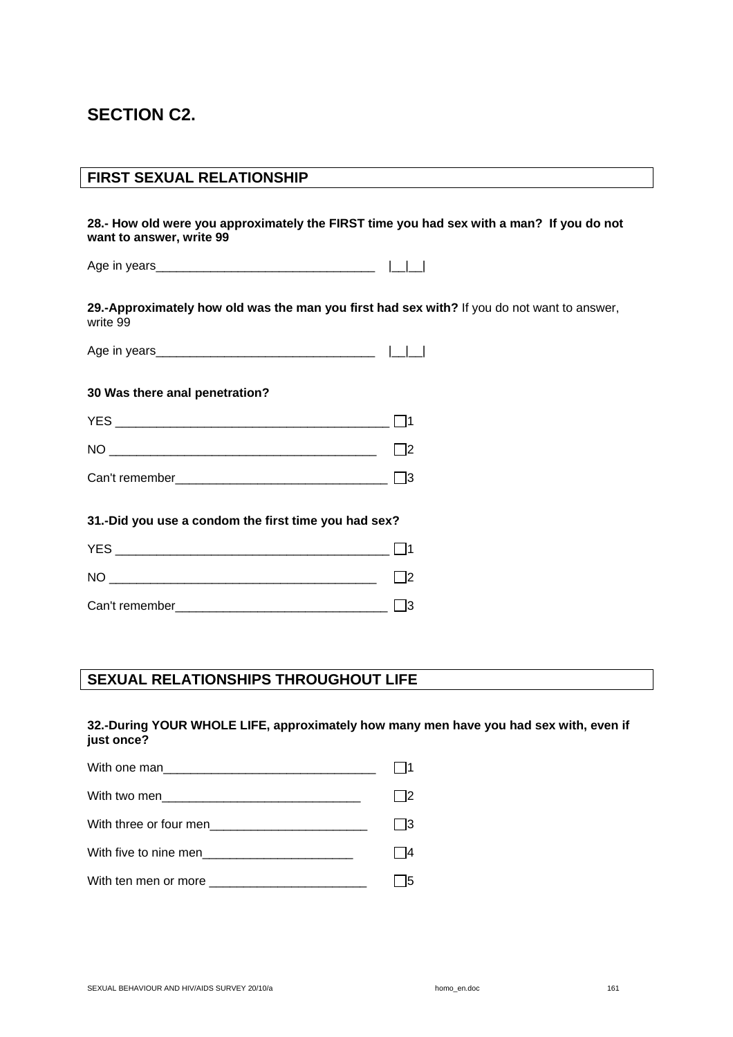# **SECTION C2.**

## **FIRST SEXUAL RELATIONSHIP**

**28.- How old were you approximately the FIRST time you had sex with a man? If you do not want to answer, write 99** 

Age in years  $\begin{array}{ccc} \hline \end{array}$ 

**29.-Approximately how old was the man you first had sex with?** If you do not want to answer, write 99

Age in years\_\_\_\_\_\_\_\_\_\_\_\_\_\_\_\_\_\_\_\_\_\_\_\_\_\_\_\_\_\_\_\_ |\_\_|\_\_|

#### **30 Was there anal penetration?**

| <b>YES</b>     |  |
|----------------|--|
| N <sub>O</sub> |  |
| Can't remember |  |

#### **31.-Did you use a condom the first time you had sex?**

| <b>YES</b>     |  |
|----------------|--|
| N <sub>O</sub> |  |
| Can't remember |  |

# **SEXUAL RELATIONSHIPS THROUGHOUT LIFE**

#### **32.-During YOUR WHOLE LIFE, approximately how many men have you had sex with, even if just once?**

| I3 |
|----|
|    |
|    |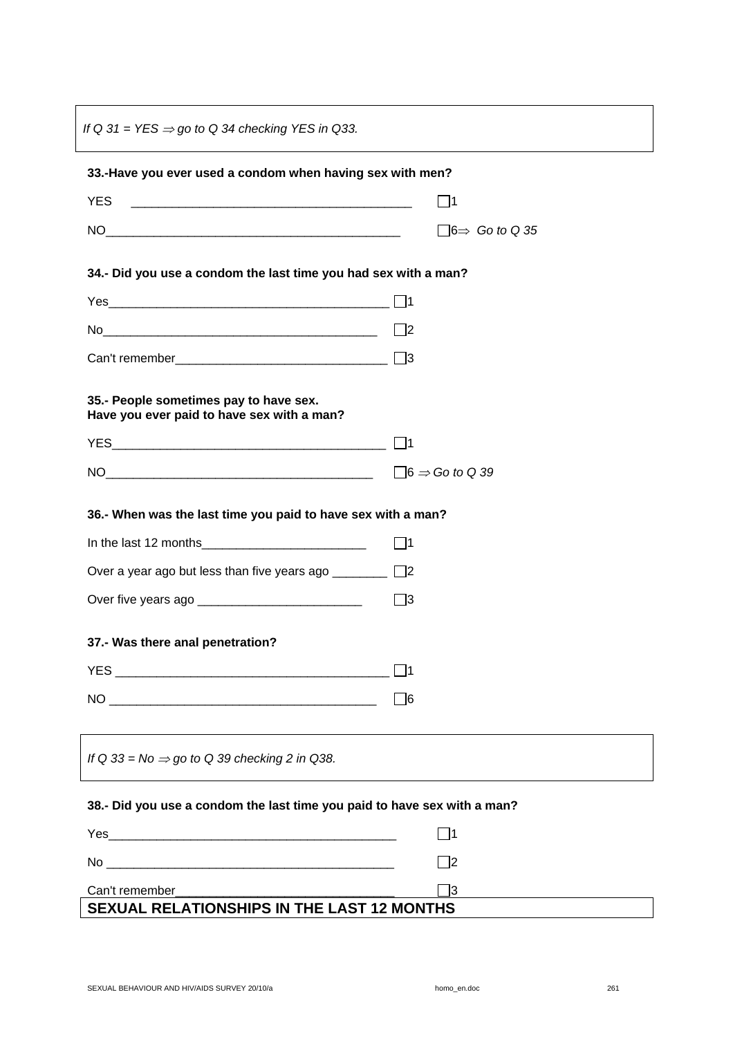*If Q 31 = YES* ⇒ *go to Q 34 checking YES in Q33.* 

| 33.-Have you ever used a condom when having sex with men?                                                                                                                                                                                                                                                                                    |                                   |
|----------------------------------------------------------------------------------------------------------------------------------------------------------------------------------------------------------------------------------------------------------------------------------------------------------------------------------------------|-----------------------------------|
| <b>YES</b><br><u> 1989 - Jan James James Barnett, fransk politik (d. 1989)</u>                                                                                                                                                                                                                                                               | $\square$ 1                       |
|                                                                                                                                                                                                                                                                                                                                              | $\Box$ 6 $\Rightarrow$ Go to Q 35 |
| 34 .- Did you use a condom the last time you had sex with a man?                                                                                                                                                                                                                                                                             |                                   |
|                                                                                                                                                                                                                                                                                                                                              |                                   |
| No 2                                                                                                                                                                                                                                                                                                                                         |                                   |
|                                                                                                                                                                                                                                                                                                                                              |                                   |
| 35 .- People sometimes pay to have sex.<br>Have you ever paid to have sex with a man?                                                                                                                                                                                                                                                        |                                   |
|                                                                                                                                                                                                                                                                                                                                              |                                   |
|                                                                                                                                                                                                                                                                                                                                              | $\Box$ 6 $\Rightarrow$ Go to Q 39 |
| 36.- When was the last time you paid to have sex with a man?                                                                                                                                                                                                                                                                                 |                                   |
|                                                                                                                                                                                                                                                                                                                                              | $\Box$ 1                          |
| Over a year ago but less than five years ago _________ □2                                                                                                                                                                                                                                                                                    |                                   |
|                                                                                                                                                                                                                                                                                                                                              | $\square$ 3                       |
| 37 .- Was there anal penetration?                                                                                                                                                                                                                                                                                                            |                                   |
|                                                                                                                                                                                                                                                                                                                                              | $\vert$ 11                        |
| $\begin{picture}(150,10) \put(0,0){\line(1,0){100}} \put(15,0){\line(1,0){100}} \put(15,0){\line(1,0){100}} \put(15,0){\line(1,0){100}} \put(15,0){\line(1,0){100}} \put(15,0){\line(1,0){100}} \put(15,0){\line(1,0){100}} \put(15,0){\line(1,0){100}} \put(15,0){\line(1,0){100}} \put(15,0){\line(1,0){100}} \put(15,0){\line(1,0){100}}$ | $\Box$                            |
|                                                                                                                                                                                                                                                                                                                                              |                                   |
| If Q 33 = No $\Rightarrow$ go to Q 39 checking 2 in Q38.                                                                                                                                                                                                                                                                                     |                                   |
| 38 .- Did you use a condom the last time you paid to have sex with a man?                                                                                                                                                                                                                                                                    |                                   |
|                                                                                                                                                                                                                                                                                                                                              | $\square$ 1                       |
|                                                                                                                                                                                                                                                                                                                                              | _]2                               |
|                                                                                                                                                                                                                                                                                                                                              | ∃3                                |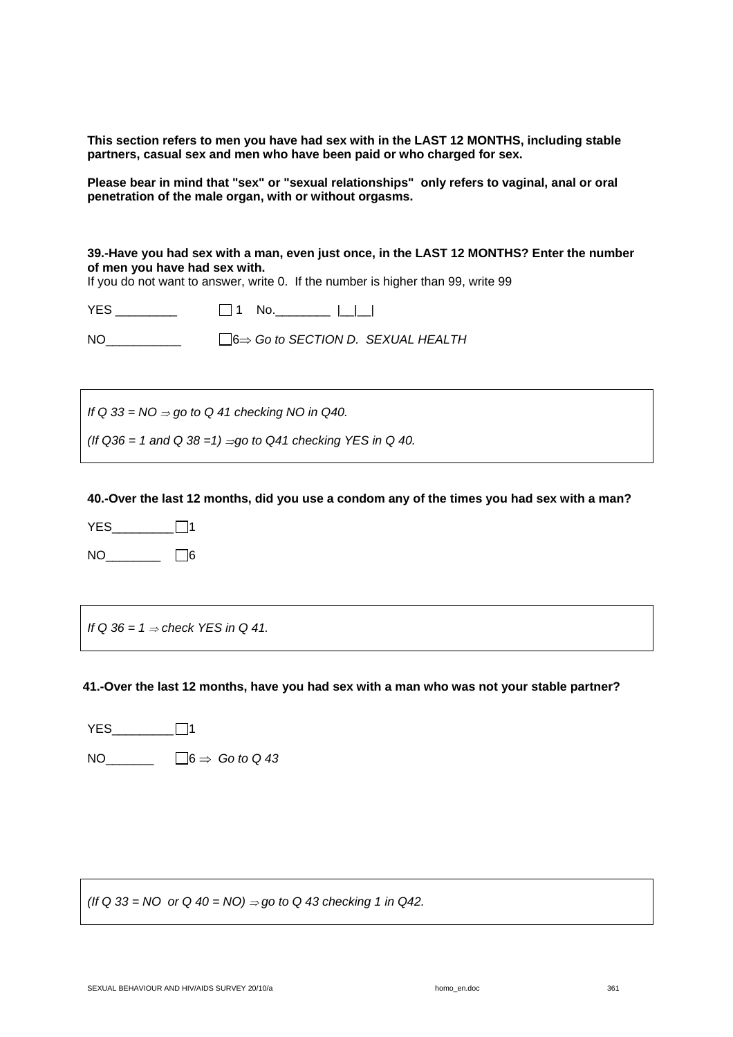**This section refers to men you have had sex with in the LAST 12 MONTHS, including stable partners, casual sex and men who have been paid or who charged for sex.**

**Please bear in mind that "sex" or "sexual relationships" only refers to vaginal, anal or oral penetration of the male organ, with or without orgasms.** 

**39.-Have you had sex with a man, even just once, in the LAST 12 MONTHS? Enter the number of men you have had sex with.** 

If you do not want to answer, write 0. If the number is higher than 99, write 99

YES \_\_\_\_\_\_\_\_\_ 1 No.\_\_\_\_\_\_\_\_ |\_\_|\_\_|

NO\_\_\_\_\_\_\_\_\_\_\_ 6⇒ *Go to SECTION D. SEXUAL HEALTH* 

*If* Q 33 = NO ⇒ go to Q 41 checking NO in Q40.

*(If Q36 = 1 and Q 38 =1)* ⇒*go to Q41 checking YES in Q 40.* 

**40.-Over the last 12 months, did you use a condom any of the times you had sex with a man?** 

YES\_\_\_\_\_\_\_\_\_ 1  $NO$ \_\_\_\_\_\_\_\_\_\_\_\_\_  $\Box$ 6

*If Q 36 = 1* ⇒ *check YES in Q 41.* 

**41.-Over the last 12 months, have you had sex with a man who was not your stable partner?** 

 $YES$   $\Box$ 1 NO\_\_\_\_\_\_\_ 6 ⇒ *Go to Q 43* 

*(If Q 33 = NO or Q 40 = NO)*  $\Rightarrow$  *go to Q 43 checking 1 in Q42.*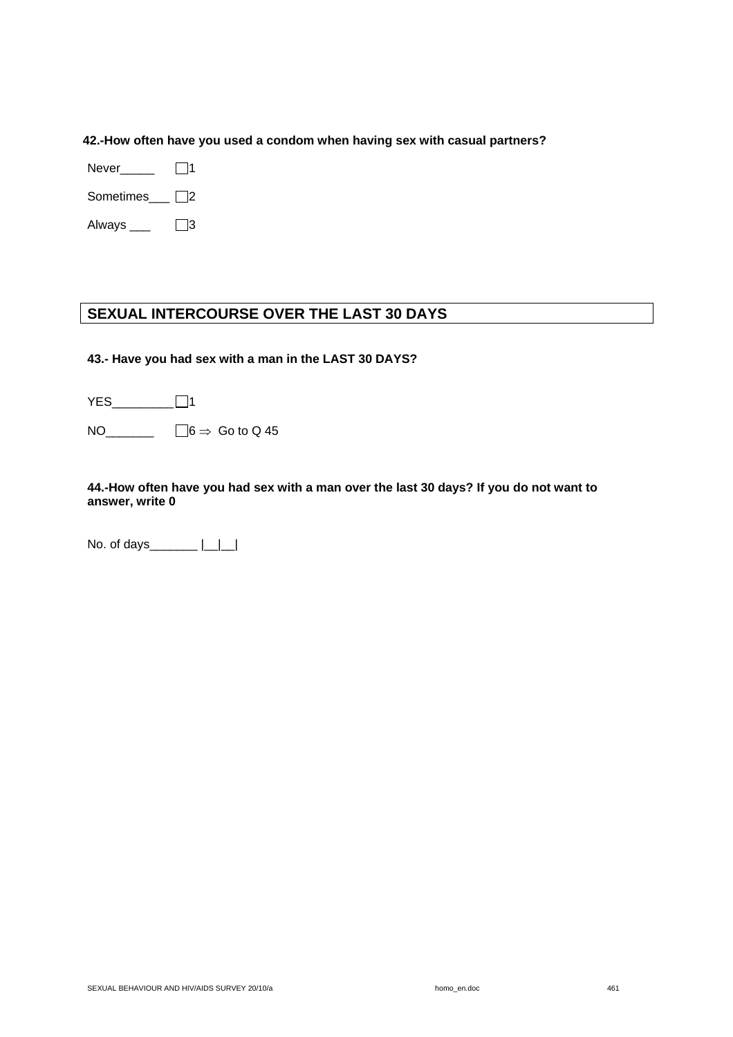#### **42.-How often have you used a condom when having sex with casual partners?**

 $Never$  1

Sometimes\_\_\_ 2

Always  $\Box$ 3

# **SEXUAL INTERCOURSE OVER THE LAST 30 DAYS**

#### **43.- Have you had sex with a man in the LAST 30 DAYS?**

| <b>YES</b> | l 11                              |
|------------|-----------------------------------|
| NO.        | $\Box$ 6 $\Rightarrow$ Go to Q 45 |

#### **44.-How often have you had sex with a man over the last 30 days? If you do not want to answer, write 0**

No. of days\_\_\_\_\_\_\_\_ |\_\_|\_\_|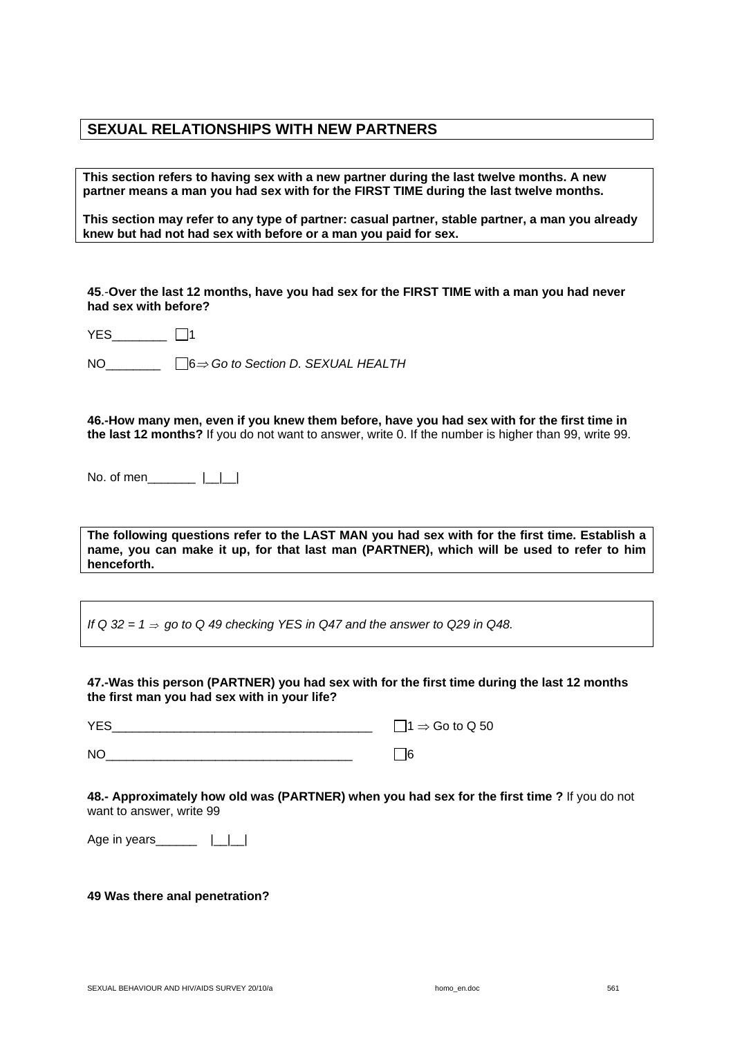## **SEXUAL RELATIONSHIPS WITH NEW PARTNERS**

**This section refers to having sex with a new partner during the last twelve months. A new partner means a man you had sex with for the FIRST TIME during the last twelve months.** 

**This section may refer to any type of partner: casual partner, stable partner, a man you already knew but had not had sex with before or a man you paid for sex.** 

**45**.-**Over the last 12 months, have you had sex for the FIRST TIME with a man you had never had sex with before?** 

YES\_\_\_\_\_\_\_\_ □1

NO\_\_\_\_\_\_\_\_ 6⇒ *Go to Section D. SEXUAL HEALTH*

**46.-How many men, even if you knew them before, have you had sex with for the first time in the last 12 months?** If you do not want to answer, write 0. If the number is higher than 99, write 99.

No. of men  $||\cdot||$ 

**The following questions refer to the LAST MAN you had sex with for the first time. Establish a name, you can make it up, for that last man (PARTNER), which will be used to refer to him henceforth.** 

*If* Q 32 = 1 ⇒ *go to Q 49 checking YES in Q47 and the answer to Q29 in Q48.* 

**47.-Was this person (PARTNER) you had sex with for the first time during the last 12 months the first man you had sex with in your life?** 

 $YES$   $1 \Rightarrow$  Go to Q 50  $NO$ 

**48.- Approximately how old was (PARTNER) when you had sex for the first time ?** If you do not want to answer, write 99

Age in years\_\_\_\_\_\_\_  $|\_|\_$ 

**49 Was there anal penetration?**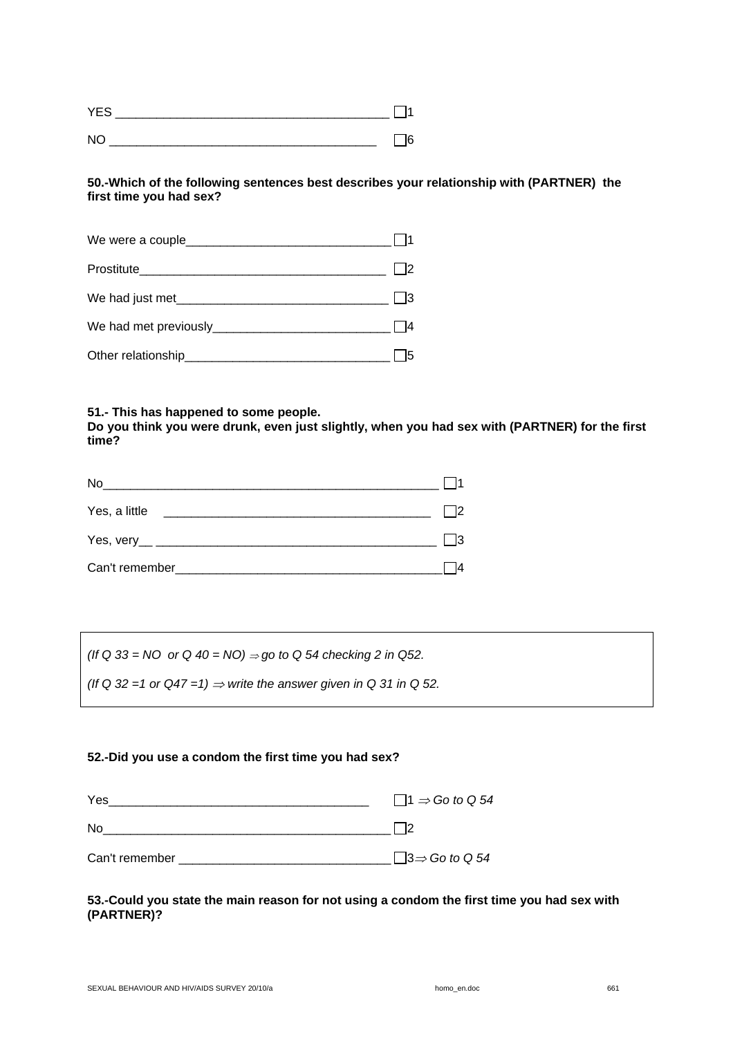| ∽<br>$\vee$ |  |
|-------------|--|
|             |  |

#### **50.-Which of the following sentences best describes your relationship with (PARTNER) the first time you had sex?**

| We had met previously __________ |  |
|----------------------------------|--|
|                                  |  |

#### **51.- This has happened to some people.**

**Do you think you were drunk, even just slightly, when you had sex with (PARTNER) for the first time?** 

| No                                            |  |
|-----------------------------------------------|--|
| Yes, a little                                 |  |
| Yes, very__ _________________________________ |  |
| Can't remember                                |  |

*(If Q 33* = NO or Q 40 = NO) ⇒ *go to Q 54 checking 2 in Q52.* 

(If Q 32 =1 or  $Q47 = 1$ )  $\Rightarrow$  write the answer given in Q 31 in Q 52.

#### **52.-Did you use a condom the first time you had sex?**

| Yes            | $\Box$ 1 ⇒ Go to Q 54 |
|----------------|-----------------------|
| No.            |                       |
| Can't remember | $\Box$ 3⇒ Go to Q 54  |

#### **53.-Could you state the main reason for not using a condom the first time you had sex with (PARTNER)?**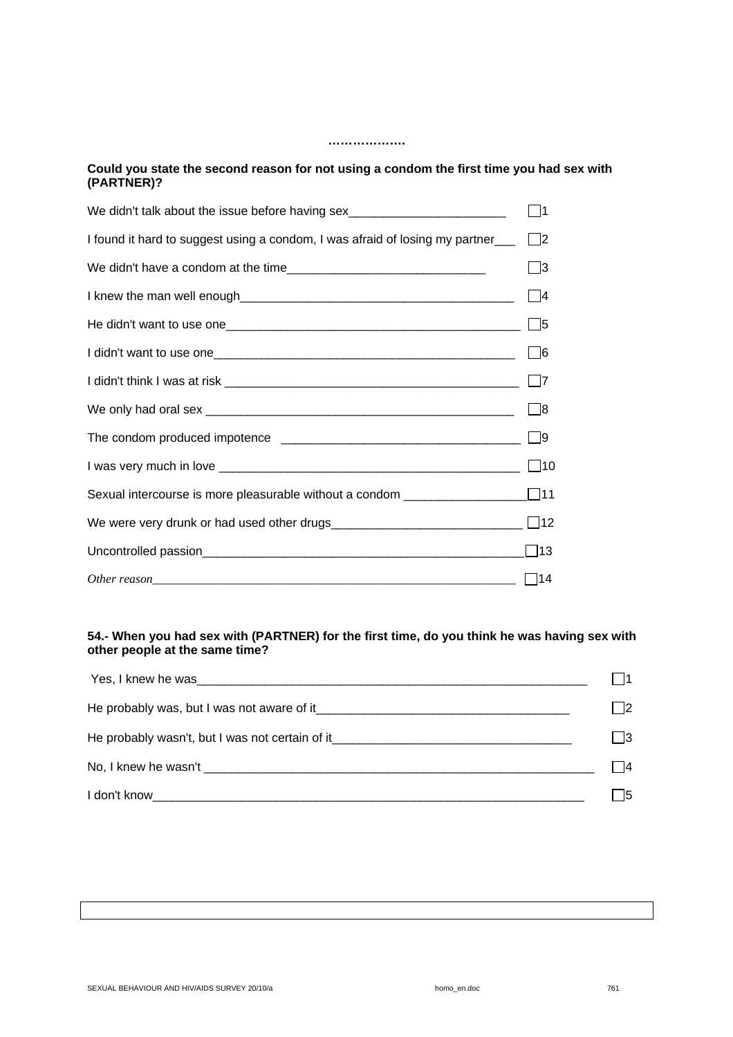## **Could you state the second reason for not using a condom the first time you had sex with (PARTNER)?**

**……………….** 

| We didn't talk about the issue before having sex________________________________ | 11           |
|----------------------------------------------------------------------------------|--------------|
| I found it hard to suggest using a condom, I was afraid of losing my partner     | $\square$ 2  |
|                                                                                  | 3            |
|                                                                                  | $\Box$ 4     |
|                                                                                  | $\Box$ 5     |
|                                                                                  | $\Box$       |
|                                                                                  | l 17         |
|                                                                                  | $\Box$ 8     |
|                                                                                  | $\Box$ 9     |
|                                                                                  | $\square$ 10 |
| Sexual intercourse is more pleasurable without a condom ________________________ |              |
|                                                                                  |              |
|                                                                                  | ∏13          |
|                                                                                  | 114          |

### **54.- When you had sex with (PARTNER) for the first time, do you think he was having sex with other people at the same time?**

|                                                                                                                                                                                                                                | 2    |
|--------------------------------------------------------------------------------------------------------------------------------------------------------------------------------------------------------------------------------|------|
| He probably wasn't, but I was not certain of it_________________________________                                                                                                                                               | - 13 |
|                                                                                                                                                                                                                                | 4    |
| I don't know that the contract of the contract of the contract of the contract of the contract of the contract of the contract of the contract of the contract of the contract of the contract of the contract of the contract | - 15 |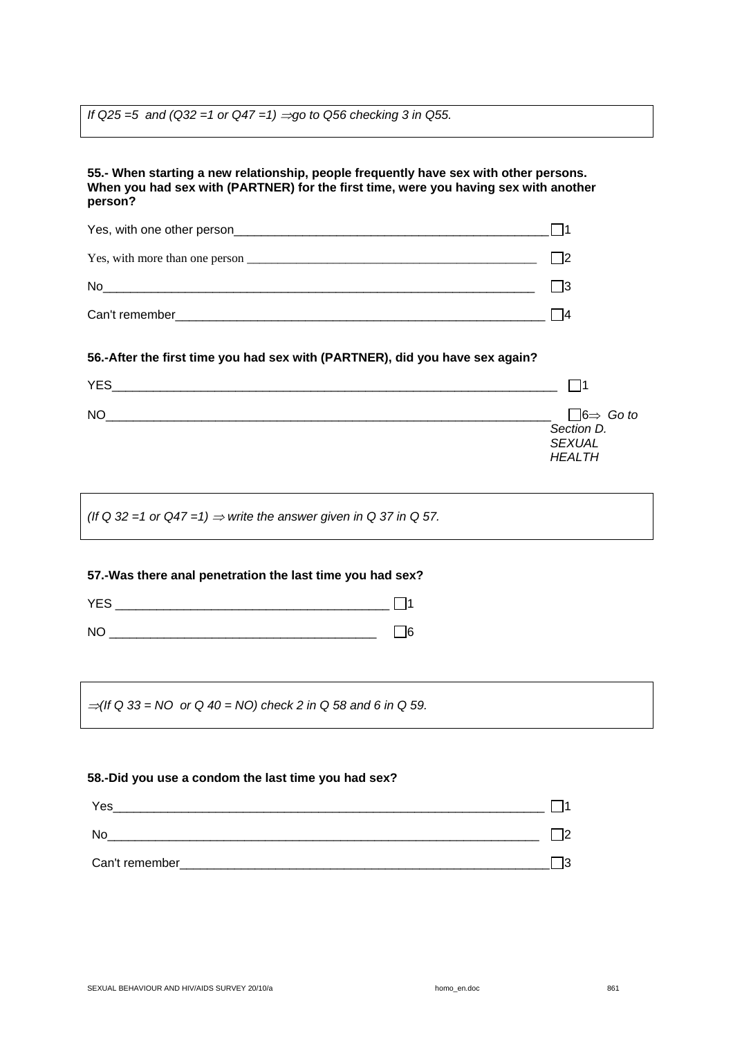*If Q25 =5 and (Q32 =1 or Q47 =1) ⇒go to Q56 checking 3 in Q55.* 

# **55.- When starting a new relationship, people frequently have sex with other persons. When you had sex with (PARTNER) for the first time, were you having sex with another person?**  Yes, with one other person  $\Box$  1 Yes, with more than one person  $\frac{1}{2}$ No  $\Box$ Can't remember\_\_\_\_\_\_\_\_\_\_\_\_\_\_\_\_\_\_\_\_\_\_\_\_\_\_\_\_\_\_\_\_\_\_\_\_\_\_\_\_\_\_\_\_\_\_\_\_\_\_\_\_\_\_ 4 **56.-After the first time you had sex with (PARTNER), did you have sex again?**  YES  $N$ O $\Box$ *Section D. SEXUAL HEALTH* (If Q 32 =1 or  $Q47 = 1$ )  $\Rightarrow$  write the answer given in Q 37 in Q 57. **57.-Was there anal penetration the last time you had sex?**   $YES$   $\Box$ 1  $N$ O  $\Box$ <sup>⇒</sup>*(If Q 33 = NO or Q 40 = NO) check 2 in Q 58 and 6 in Q 59.*

#### **58.-Did you use a condom the last time you had sex?**

| Yes            |          |
|----------------|----------|
| No             | ıc       |
| Can't remember | מו<br>ь. |